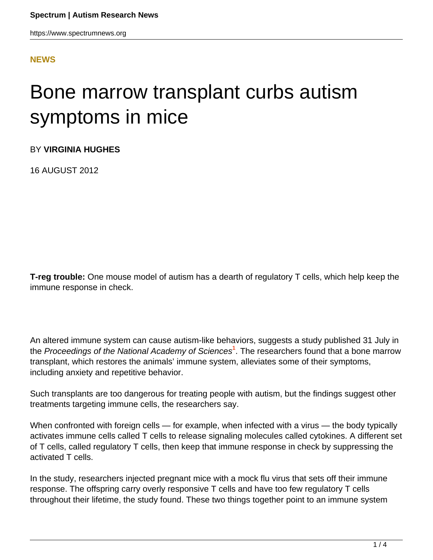https://www.spectrumnews.org

#### **[NEWS](HTTPS://WWW.SPECTRUMNEWS.ORG/NEWS/)**

# Bone marrow transplant curbs autism symptoms in mice

BY **VIRGINIA HUGHES**

16 AUGUST 2012

**T-reg trouble:** One mouse model of autism has a dearth of regulatory T cells, which help keep the immune response in check.

An altered immune system can cause autism-like behaviors, suggests a study published 31 July in the Proceedings of the National Academy of Sciences**<sup>1</sup>** . The researchers found that a bone marrow transplant, which restores the animals' immune system, alleviates some of their symptoms, including anxiety and repetitive behavior.

Such transplants are too dangerous for treating people with autism, but the findings suggest other treatments targeting immune cells, the researchers say.

When confronted with foreign cells — for example, when infected with a virus — the body typically activates immune cells called T cells to release signaling molecules called cytokines. A different set of T cells, called regulatory T cells, then keep that immune response in check by suppressing the activated T cells.

In the study, researchers injected pregnant mice with a mock flu virus that sets off their immune response. The offspring carry overly responsive T cells and have too few regulatory T cells throughout their lifetime, the study found. These two things together point to an immune system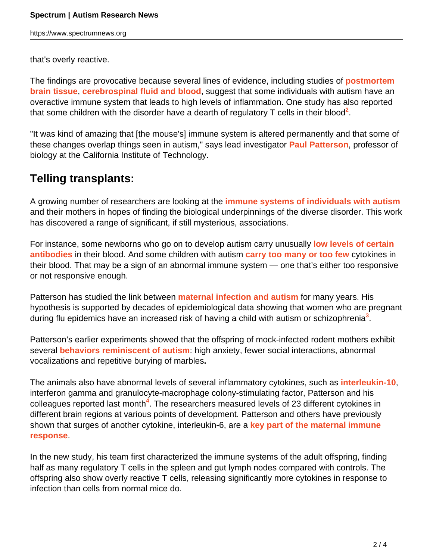https://www.spectrumnews.org

that's overly reactive.

The findings are provocative because several lines of evidence, including studies of **[postmortem](https://www.spectrumnews.org/conference-news/2009/society-for-neuroscience-2009/postmortem-study-hints-at-two-types-of-autism) [brain tissue](https://www.spectrumnews.org/conference-news/2009/society-for-neuroscience-2009/postmortem-study-hints-at-two-types-of-autism)**, **[cerebrospinal fluid and blood](https://www.spectrumnews.org/news/2010/autism-and-fragile-x-feature-immune-signatures)**, suggest that some individuals with autism have an overactive immune system that leads to high levels of inflammation. One study has also reported that some children with the disorder have a dearth of regulatory T cells in their blood<sup>2</sup>.

"It was kind of amazing that [the mouse's] immune system is altered permanently and that some of these changes overlap things seen in autism," says lead investigator **[Paul Patterson](/author/?author=https%3A%2Fid.sfari.org%2Fpaulpatterson)**, professor of biology at the California Institute of Technology.

### **Telling transplants:**

A growing number of researchers are looking at the **[immune systems of individuals with autism](https://www.spectrumnews.org/news/2011/studies-of-early-development-reveal-immune-link-to-autism)** and their mothers in hopes of finding the biological underpinnings of the diverse disorder. This work has discovered a range of significant, if still mysterious, associations.

For instance, some newborns who go on to develop autism carry unusually **[low levels of certain](https://www.spectrumnews.org/in-brief/2011/molecular-mechanisms-newborn-blood-boosts-immune-theory-of-autism) [antibodies](https://www.spectrumnews.org/in-brief/2011/molecular-mechanisms-newborn-blood-boosts-immune-theory-of-autism)** in their blood. And some children with autism **[carry too many or too few](https://www.spectrumnews.org/news/2010/autism-and-fragile-x-feature-immune-signatures)** cytokines in their blood. That may be a sign of an abnormal immune system — one that's either too responsive or not responsive enough.

Patterson has studied the link between **[maternal infection and autism](../2008/experts-tease-out-maternal-infections-link-to-autism)** for many years. His hypothesis is supported by decades of epidemiological data showing that women who are pregnant during flu epidemics have an increased risk of having a child with autism or schizophrenia**<sup>3</sup>** .

Patterson's earlier experiments showed that the offspring of mock-infected rodent mothers exhibit several **[behaviors reminiscent of autism](https://www.spectrumnews.org/in-brief/2012/molecular-mechanisms-maternal-infection-linked-to-autism)**: high anxiety, fewer social interactions, abnormal vocalizations and repetitive burying of marbles**.**

The animals also have abnormal levels of several inflammatory cytokines, such as **[interleukin-10](https://www.spectrumnews.org/news/2011/studies-of-early-development-reveal-immune-link-to-autism)**, interferon gamma and granulocyte-macrophage colony-stimulating factor, Patterson and his colleagues reported last month**<sup>4</sup>** . The researchers measured levels of 23 different cytokines in different brain regions at various points of development. Patterson and others have previously shown that surges of another cytokine, interleukin-6, are a **[key part of the maternal immune](https://www.spectrumnews.org/conference-news/2010/society-for-neuroscience-2010/immune-protein-alters-development-in-young-mice) [response](https://www.spectrumnews.org/conference-news/2010/society-for-neuroscience-2010/immune-protein-alters-development-in-young-mice)**.

In the new study, his team first characterized the immune systems of the adult offspring, finding half as many regulatory T cells in the spleen and gut lymph nodes compared with controls. The offspring also show overly reactive T cells, releasing significantly more cytokines in response to infection than cells from normal mice do.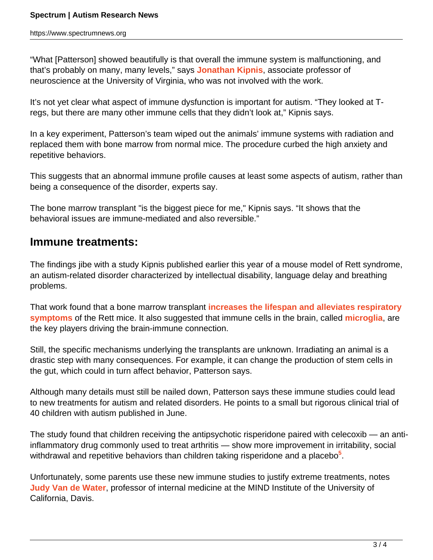"What [Patterson] showed beautifully is that overall the immune system is malfunctioning, and that's probably on many, many levels," says **[Jonathan Kipnis](http://www.medicine.virginia.edu/basic-science/departments/neurosci/faculty/kipnis/home-page)**, associate professor of neuroscience at the University of Virginia, who was not involved with the work.

It's not yet clear what aspect of immune dysfunction is important for autism. "They looked at Tregs, but there are many other immune cells that they didn't look at," Kipnis says.

In a key experiment, Patterson's team wiped out the animals' immune systems with radiation and replaced them with bone marrow from normal mice. The procedure curbed the high anxiety and repetitive behaviors.

This suggests that an abnormal immune profile causes at least some aspects of autism, rather than being a consequence of the disorder, experts say.

The bone marrow transplant "is the biggest piece for me," Kipnis says. "It shows that the behavioral issues are immune-mediated and also reversible."

#### **Immune treatments:**

The findings jibe with a study Kipnis published earlier this year of a mouse model of Rett syndrome, an autism-related disorder characterized by intellectual disability, language delay and breathing problems.

That work found that a bone marrow transplant **[increases the lifespan and alleviates respiratory](https://www.spectrumnews.org/news/2012/bone-marrow-transplant-curbs-autism-symptoms-in-mice) [symptoms](https://www.spectrumnews.org/news/2012/bone-marrow-transplant-curbs-autism-symptoms-in-mice)** of the Rett mice. It also suggested that immune cells in the brain, called **[microglia](../../specials/2012/microglia)**, are the key players driving the brain-immune connection.

Still, the specific mechanisms underlying the transplants are unknown. Irradiating an animal is a drastic step with many consequences. For example, it can change the production of stem cells in the gut, which could in turn affect behavior, Patterson says.

Although many details must still be nailed down, Patterson says these immune studies could lead to new treatments for autism and related disorders. He points to a small but rigorous clinical trial of 40 children with autism published in June.

The study found that children receiving the antipsychotic risperidone paired with celecoxib — an antiinflammatory drug commonly used to treat arthritis — show more improvement in irritability, social withdrawal and repetitive behaviors than children taking risperidone and a placebo**<sup>5</sup>** .

Unfortunately, some parents use these new immune studies to justify extreme treatments, notes **[Judy Van de Water](http://www.ucdmc.ucdavis.edu/mindinstitute/ourteam/faculty/vandewater.html)**, professor of internal medicine at the MIND Institute of the University of California, Davis.